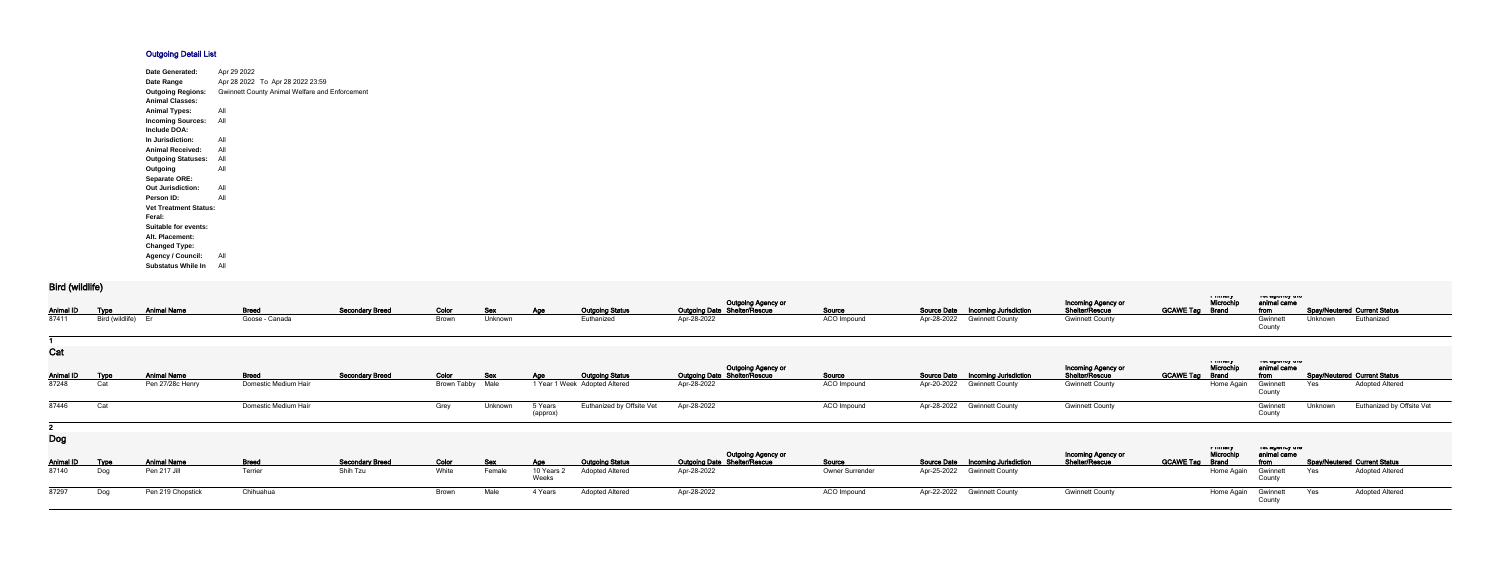## **Outgoing Detail List**

| Date Generated:              | Apr 29 2022                                           |
|------------------------------|-------------------------------------------------------|
| Date Range                   | Apr 28 2022 To Apr 28 2022 23:59                      |
| <b>Outgoing Regions:</b>     | <b>Gwinnett County Animal Welfare and Enforcement</b> |
| <b>Animal Classes:</b>       |                                                       |
| <b>Animal Types:</b>         | All                                                   |
| <b>Incoming Sources:</b>     | All                                                   |
| Include DOA:                 |                                                       |
| In Jurisdiction:             | All                                                   |
| <b>Animal Received:</b>      | All                                                   |
| <b>Outgoing Statuses:</b>    | All                                                   |
| Outgoing                     | All                                                   |
| <b>Separate ORE:</b>         |                                                       |
| <b>Out Jurisdiction:</b>     | All                                                   |
| Person ID:                   | All                                                   |
| <b>Vet Treatment Status:</b> |                                                       |
| Feral:                       |                                                       |
| <b>Suitable for events:</b>  |                                                       |
| Alt. Placement:              |                                                       |
| <b>Changed Type:</b>         |                                                       |
| <b>Agency / Council:</b>     | All                                                   |
| <b>Substatus While In</b>    | All                                                   |

## **Bird (wildlife)**

| $PIII$ (wildling) |                 |                    |                      |                        |                    |            |                     |                               |                                                    |                 |             |                                          |                                      |                        |                      |                                        |         |                                     |
|-------------------|-----------------|--------------------|----------------------|------------------------|--------------------|------------|---------------------|-------------------------------|----------------------------------------------------|-----------------|-------------|------------------------------------------|--------------------------------------|------------------------|----------------------|----------------------------------------|---------|-------------------------------------|
| <b>Animal ID</b>  | <u>Type</u>     | <b>Animal Name</b> | <b>Breed</b>         | <b>Secondary Breed</b> | Color              | <b>Sex</b> | Age                 | <b>Outgoing Status</b>        | Outgoing Agency or<br>Outgoing Date Shelter/Rescue | Source          |             | <b>Source Date Incoming Jurisdiction</b> | Incoming Agency or<br>Shelter/Rescue | <b>GCAWE Tag Brand</b> | a music<br>Microchip | יוט עשטויטן אוי<br>animal came<br>from |         | <b>Spay/Neutered Current Status</b> |
| 87411             | Bird (wildlife) |                    | Goose - Canada       |                        | Brown              | Unknown    |                     | Euthanized                    | Apr-28-2022                                        | ACO Impound     | Apr-28-2022 | <b>Gwinnett County</b>                   | <b>Gwinnett County</b>               |                        |                      | Gwinnet<br>County                      | Unknown | Euthanized                          |
| Cat               |                 |                    |                      |                        |                    |            |                     |                               |                                                    |                 |             |                                          | Incoming Agency or                   |                        | Microchip            | ו סג טשטווטץ נווט<br>animal came       |         |                                     |
| <b>Animal ID</b>  | <b>Type</b>     | <b>Animal Name</b> | <b>Breed</b>         | <b>Secondary Breed</b> | Color              | Sex        | <u>Age</u>          | <b>Outgoing Status</b>        | Outgoing Agency or<br>Outgoing Date Shelter/Rescue | Source          |             | Source Date  Incoming Jurisdiction       | <b>Shelter/Rescue</b>                | <b>GCAWE Tag</b>       | <b>Brand</b>         | from                                   |         | <b>Spay/Neutered Current Status</b> |
| 87248             | Cat             | Pen 27/28c Henry   | Domestic Medium Hair |                        | <b>Brown Tabby</b> | Male       |                     | 1 Year 1 Week Adopted Altered | Apr-28-2022                                        | ACO Impound     | Apr-20-2022 | <b>Gwinnett County</b>                   | <b>Gwinnett County</b>               |                        | Home Again           | Gwinnet<br>County                      | Yes     | <b>Adopted Altered</b>              |
| 87446             | Cat             |                    | Domestic Medium Hair |                        | Grey               | Unknown    | 5 Years<br>(approx) | Euthanized by Offsite Vet     | Apr-28-2022                                        | ACO Impound     |             | Apr-28-2022 Gwinnett County              | <b>Gwinnett County</b>               |                        |                      | Gwinnet<br>County                      | Unknown | Euthanized by Offsite Vet           |
|                   |                 |                    |                      |                        |                    |            |                     |                               |                                                    |                 |             |                                          |                                      |                        |                      |                                        |         |                                     |
| <b>Dog</b>        |                 |                    |                      |                        |                    |            |                     |                               |                                                    |                 |             |                                          |                                      |                        | n musuy<br>Microchi  | ו סג טאוס שופ<br>animal came           |         |                                     |
| <b>Animal ID</b>  | <u>Type</u>     | <b>Animal Name</b> | <b>Breed</b>         | <b>Secondary Breed</b> | Color              | <u>Sex</u> | <b>Age</b>          | <b>Outgoing Status</b>        | Outgoing Agency or<br>Outgoing Date Shelter/Rescue | Source          | Source Date | <b>Incoming Jurisdiction</b>             | Incoming Agency or<br>Shelter/Rescue | <b>GCAWE Tag</b>       | <b>Brand</b>         | from                                   |         | <b>Spay/Neutered Current Status</b> |
| 87140             | Dog             | Pen 217 Jill       | Terrier              | Shih Tzu               | White              | Female     | 10 Years 2<br>Weeks | <b>Adopted Altered</b>        | Apr-28-2022                                        | Owner Surrender |             | Apr-25-2022 Gwinnett County              |                                      |                        | Home Again           | Gwinnet<br>County                      | Yes     | <b>Adopted Altered</b>              |
| 87297             | Dog             | Pen 219 Chopstick  | Chihuahua            |                        | Brown              | Male       | 4 Years             | <b>Adopted Altered</b>        | Apr-28-2022                                        | ACO Impound     |             | Apr-22-2022 Gwinnett County              | <b>Gwinnett County</b>               |                        | Home Again           | Gwinnett<br>County                     | Yes     | <b>Adopted Altered</b>              |